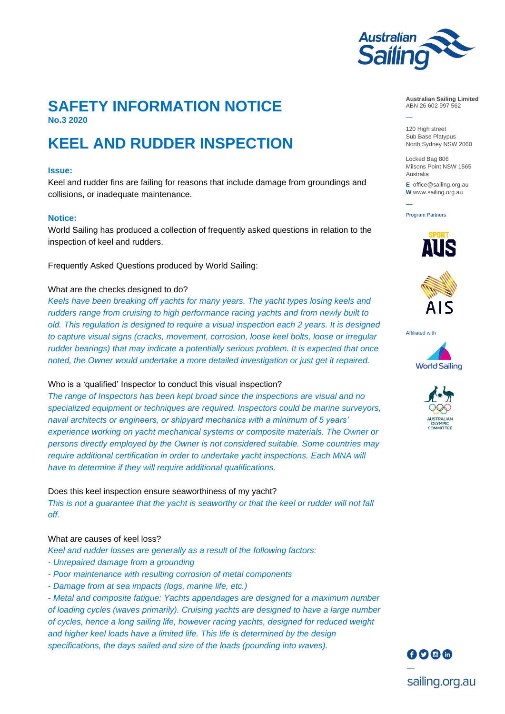

―

―

# **SAFETY INFORMATION NOTICE No.3 2020**

# **KEEL AND RUDDER INSPECTION**

#### **Issue:**

Keel and rudder fins are failing for reasons that include damage from groundings and collisions, or inadequate maintenance.

#### **Notice:**

World Sailing has produced a collection of frequently asked questions in relation to the inspection of keel and rudders.

Frequently Asked Questions produced by World Sailing:

#### What are the checks designed to do?

*Keels have been breaking off yachts for many years. The yacht types losing keels and rudders range from cruising to high performance racing yachts and from newly built to old. This regulation is designed to require a visual inspection each 2 years. It is designed to capture visual signs (cracks, movement, corrosion, loose keel bolts, loose or irregular rudder bearings) that may indicate a potentially serious problem. It is expected that once noted, the Owner would undertake a more detailed investigation or just get it repaired.*

#### Who is a 'qualified' Inspector to conduct this visual inspection?

*The range of Inspectors has been kept broad since the inspections are visual and no specialized equipment or techniques are required. Inspectors could be marine surveyors, naval architects or engineers, or shipyard mechanics with a minimum of 5 years' experience working on yacht mechanical systems or composite materials. The Owner or persons directly employed by the Owner is not considered suitable. Some countries may require additional certification in order to undertake yacht inspections. Each MNA will have to determine if they will require additional qualifications.*

Does this keel inspection ensure seaworthiness of my yacht? This is not a guarantee that the yacht is seaworthy or that the keel or rudder will not fall *off.*

# What are causes of keel loss?

*Keel and rudder losses are generally as a result of the following factors:*

- *Unrepaired damage from a grounding*
- *Poor maintenance with resulting corrosion of metal components*
- *Damage from at sea impacts (logs, marine life, etc.)*

- *Metal and composite fatigue: Yachts appendages are designed for a maximum number of loading cycles (waves primarily). Cruising yachts are designed to have a large number of cycles, hence a long sailing life, however racing yachts, designed for reduced weight and higher keel loads have a limited life. This life is determined by the design specifications, the days sailed and size of the loads (pounding into waves).*

**Australian Sailing Limited** ABN 26 602 997 562

120 High street Sub Base Platypus North Sydney NSW 2060

Locked Bag 806 Milsons Point NSW 1565 Australia

**E** office@sailing.org.au **W** www.sailing.org.au

Program Partners





Affiliated with







sailing.org.au